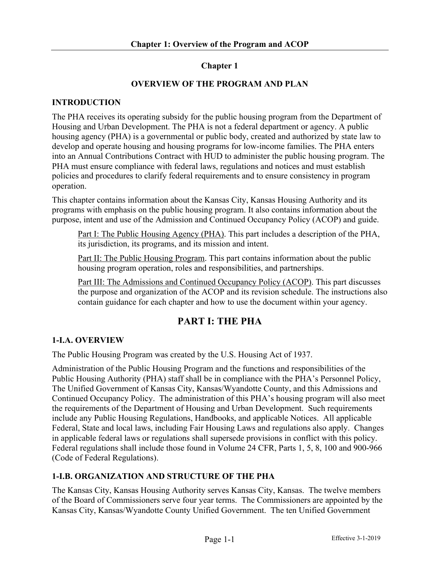## **Chapter 1**

## **OVERVIEW OF THE PROGRAM AND PLAN**

## **INTRODUCTION**

The PHA receives its operating subsidy for the public housing program from the Department of Housing and Urban Development. The PHA is not a federal department or agency. A public housing agency (PHA) is a governmental or public body, created and authorized by state law to develop and operate housing and housing programs for low-income families. The PHA enters into an Annual Contributions Contract with HUD to administer the public housing program. The PHA must ensure compliance with federal laws, regulations and notices and must establish policies and procedures to clarify federal requirements and to ensure consistency in program operation.

This chapter contains information about the Kansas City, Kansas Housing Authority and its programs with emphasis on the public housing program. It also contains information about the purpose, intent and use of the Admission and Continued Occupancy Policy (ACOP) and guide.

Part I: The Public Housing Agency (PHA). This part includes a description of the PHA, its jurisdiction, its programs, and its mission and intent.

Part II: The Public Housing Program. This part contains information about the public housing program operation, roles and responsibilities, and partnerships.

Part III: The Admissions and Continued Occupancy Policy (ACOP). This part discusses the purpose and organization of the ACOP and its revision schedule. The instructions also contain guidance for each chapter and how to use the document within your agency.

## **PART I: THE PHA**

## **1-I.A. OVERVIEW**

The Public Housing Program was created by the U.S. Housing Act of 1937.

Administration of the Public Housing Program and the functions and responsibilities of the Public Housing Authority (PHA) staff shall be in compliance with the PHA's Personnel Policy, The Unified Government of Kansas City, Kansas/Wyandotte County, and this Admissions and Continued Occupancy Policy. The administration of this PHA's housing program will also meet the requirements of the Department of Housing and Urban Development. Such requirements include any Public Housing Regulations, Handbooks, and applicable Notices. All applicable Federal, State and local laws, including Fair Housing Laws and regulations also apply. Changes in applicable federal laws or regulations shall supersede provisions in conflict with this policy. Federal regulations shall include those found in Volume 24 CFR, Parts 1, 5, 8, 100 and 900-966 (Code of Federal Regulations).

## **1-I.B. ORGANIZATION AND STRUCTURE OF THE PHA**

The Kansas City, Kansas Housing Authority serves Kansas City, Kansas. The twelve members of the Board of Commissioners serve four year terms. The Commissioners are appointed by the Kansas City, Kansas/Wyandotte County Unified Government. The ten Unified Government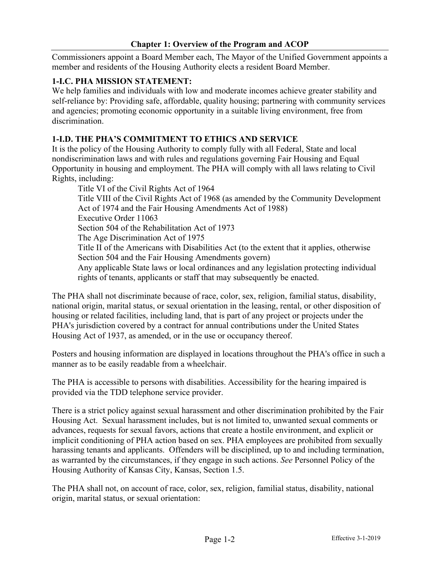Commissioners appoint a Board Member each, The Mayor of the Unified Government appoints a member and residents of the Housing Authority elects a resident Board Member.

## **1-I.C. PHA MISSION STATEMENT:**

We help families and individuals with low and moderate incomes achieve greater stability and self-reliance by: Providing safe, affordable, quality housing; partnering with community services and agencies; promoting economic opportunity in a suitable living environment, free from discrimination.

## **1-I.D. THE PHA'S COMMITMENT TO ETHICS AND SERVICE**

It is the policy of the Housing Authority to comply fully with all Federal, State and local nondiscrimination laws and with rules and regulations governing Fair Housing and Equal Opportunity in housing and employment. The PHA will comply with all laws relating to Civil Rights, including:

Title VI of the Civil Rights Act of 1964 Title VIII of the Civil Rights Act of 1968 (as amended by the Community Development Act of 1974 and the Fair Housing Amendments Act of 1988) Executive Order 11063 Section 504 of the Rehabilitation Act of 1973 The Age Discrimination Act of 1975 Title II of the Americans with Disabilities Act (to the extent that it applies, otherwise Section 504 and the Fair Housing Amendments govern) Any applicable State laws or local ordinances and any legislation protecting individual rights of tenants, applicants or staff that may subsequently be enacted.

The PHA shall not discriminate because of race, color, sex, religion, familial status, disability, national origin, marital status, or sexual orientation in the leasing, rental, or other disposition of housing or related facilities, including land, that is part of any project or projects under the PHA's jurisdiction covered by a contract for annual contributions under the United States Housing Act of 1937, as amended, or in the use or occupancy thereof.

Posters and housing information are displayed in locations throughout the PHA's office in such a manner as to be easily readable from a wheelchair.

The PHA is accessible to persons with disabilities. Accessibility for the hearing impaired is provided via the TDD telephone service provider.

There is a strict policy against sexual harassment and other discrimination prohibited by the Fair Housing Act. Sexual harassment includes, but is not limited to, unwanted sexual comments or advances, requests for sexual favors, actions that create a hostile environment, and explicit or implicit conditioning of PHA action based on sex. PHA employees are prohibited from sexually harassing tenants and applicants. Offenders will be disciplined, up to and including termination, as warranted by the circumstances, if they engage in such actions. *See* Personnel Policy of the Housing Authority of Kansas City, Kansas, Section 1.5.

The PHA shall not, on account of race, color, sex, religion, familial status, disability, national origin, marital status, or sexual orientation: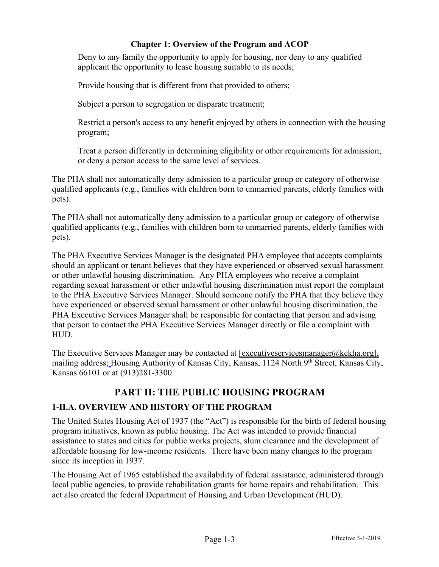Deny to any family the opportunity to apply for housing, nor deny to any qualified applicant the opportunity to lease housing suitable to its needs;

Provide housing that is different from that provided to others;

Subject a person to segregation or disparate treatment;

Restrict a person's access to any benefit enjoyed by others in connection with the housing program;

Treat a person differently in determining eligibility or other requirements for admission; or deny a person access to the same level of services.

The PHA shall not automatically deny admission to a particular group or category of otherwise qualified applicants (e.g., families with children born to unmarried parents, elderly families with pets).

The PHA shall not automatically deny admission to a particular group or category of otherwise qualified applicants (e.g., families with children born to unmarried parents, elderly families with pets).

The PHA Executive Services Manager is the designated PHA employee that accepts complaints should an applicant or tenant believes that they have experienced or observed sexual harassment or other unlawful housing discrimination. Any PHA employees who receive a complaint regarding sexual harassment or other unlawful housing discrimination must report the complaint to the PHA Executive Services Manager. Should someone notify the PHA that they believe they have experienced or observed sexual harassment or other unlawful housing discrimination, the PHA Executive Services Manager shall be responsible for contacting that person and advising that person to contact the PHA Executive Services Manager directly or file a complaint with HUD.

The Executive Services Manager may be contacted at  $[$ <u>executiveservicesmanager@kckha.org</u>], mailing address; Housing Authority of Kansas City, Kansas, 1124 North 9<sup>th</sup> Street, Kansas City, Kansas 66101 or at (913)281-3300.

# **PART II: THE PUBLIC HOUSING PROGRAM**

## **1-II.A. OVERVIEW AND HISTORY OF THE PROGRAM**

The United States Housing Act of 1937 (the "Act") is responsible for the birth of federal housing program initiatives, known as public housing. The Act was intended to provide financial assistance to states and cities for public works projects, slum clearance and the development of affordable housing for low-income residents. There have been many changes to the program since its inception in 1937.

The Housing Act of 1965 established the availability of federal assistance, administered through local public agencies, to provide rehabilitation grants for home repairs and rehabilitation. This act also created the federal Department of Housing and Urban Development (HUD).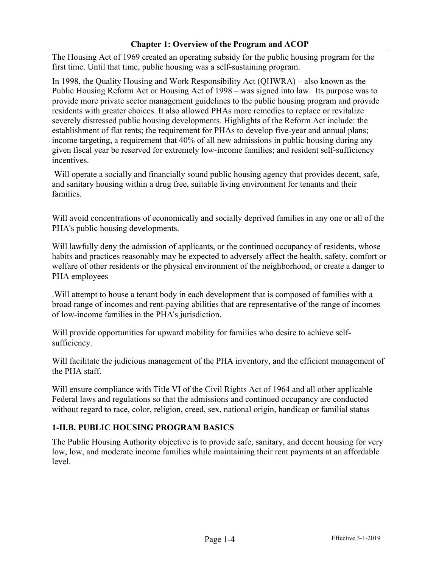The Housing Act of 1969 created an operating subsidy for the public housing program for the first time. Until that time, public housing was a self-sustaining program.

In 1998, the Quality Housing and Work Responsibility Act (QHWRA) – also known as the Public Housing Reform Act or Housing Act of 1998 – was signed into law. Its purpose was to provide more private sector management guidelines to the public housing program and provide residents with greater choices. It also allowed PHAs more remedies to replace or revitalize severely distressed public housing developments. Highlights of the Reform Act include: the establishment of flat rents; the requirement for PHAs to develop five-year and annual plans; income targeting, a requirement that 40% of all new admissions in public housing during any given fiscal year be reserved for extremely low-income families; and resident self-sufficiency incentives.

Will operate a socially and financially sound public housing agency that provides decent, safe, and sanitary housing within a drug free, suitable living environment for tenants and their families.

Will avoid concentrations of economically and socially deprived families in any one or all of the PHA's public housing developments.

Will lawfully deny the admission of applicants, or the continued occupancy of residents, whose habits and practices reasonably may be expected to adversely affect the health, safety, comfort or welfare of other residents or the physical environment of the neighborhood, or create a danger to PHA employees

.Will attempt to house a tenant body in each development that is composed of families with a broad range of incomes and rent-paying abilities that are representative of the range of incomes of low-income families in the PHA's jurisdiction.

Will provide opportunities for upward mobility for families who desire to achieve selfsufficiency.

Will facilitate the judicious management of the PHA inventory, and the efficient management of the PHA staff.

Will ensure compliance with Title VI of the Civil Rights Act of 1964 and all other applicable Federal laws and regulations so that the admissions and continued occupancy are conducted without regard to race, color, religion, creed, sex, national origin, handicap or familial status

## **1-II.B. PUBLIC HOUSING PROGRAM BASICS**

The Public Housing Authority objective is to provide safe, sanitary, and decent housing for very low, low, and moderate income families while maintaining their rent payments at an affordable level.